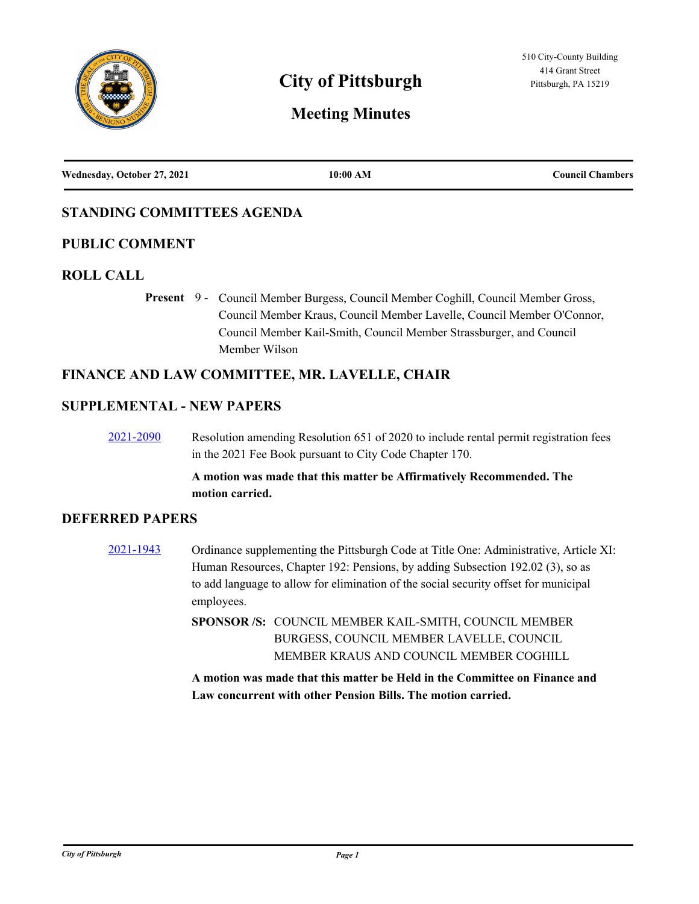

# **City of Pittsburgh Pittsburgh Pittsburgh, PA 15219**

## **Meeting Minutes**

| Wednesday, October 27, 2021 | 10:00 AM | <b>Council Chambers</b> |
|-----------------------------|----------|-------------------------|
|                             |          |                         |

### **STANDING COMMITTEES AGENDA**

#### **PUBLIC COMMENT**

#### **ROLL CALL**

Present 9 - Council Member Burgess, Council Member Coghill, Council Member Gross, Council Member Kraus, Council Member Lavelle, Council Member O'Connor, Council Member Kail-Smith, Council Member Strassburger, and Council Member Wilson

#### **FINANCE AND LAW COMMITTEE, MR. LAVELLE, CHAIR**

#### **SUPPLEMENTAL - NEW PAPERS**

[2021-2090](http://pittsburgh.legistar.com/gateway.aspx?m=l&id=/matter.aspx?key=26973) Resolution amending Resolution 651 of 2020 to include rental permit registration fees in the 2021 Fee Book pursuant to City Code Chapter 170.

#### **A motion was made that this matter be Affirmatively Recommended. The motion carried.**

#### **DEFERRED PAPERS**

[2021-1943](http://pittsburgh.legistar.com/gateway.aspx?m=l&id=/matter.aspx?key=26815) Ordinance supplementing the Pittsburgh Code at Title One: Administrative, Article XI: Human Resources, Chapter 192: Pensions, by adding Subsection 192.02 (3), so as to add language to allow for elimination of the social security offset for municipal employees.

> SPONSOR /S: COUNCIL MEMBER KAIL-SMITH, COUNCIL MEMBER BURGESS, COUNCIL MEMBER LAVELLE, COUNCIL MEMBER KRAUS AND COUNCIL MEMBER COGHILL

**A motion was made that this matter be Held in the Committee on Finance and Law concurrent with other Pension Bills. The motion carried.**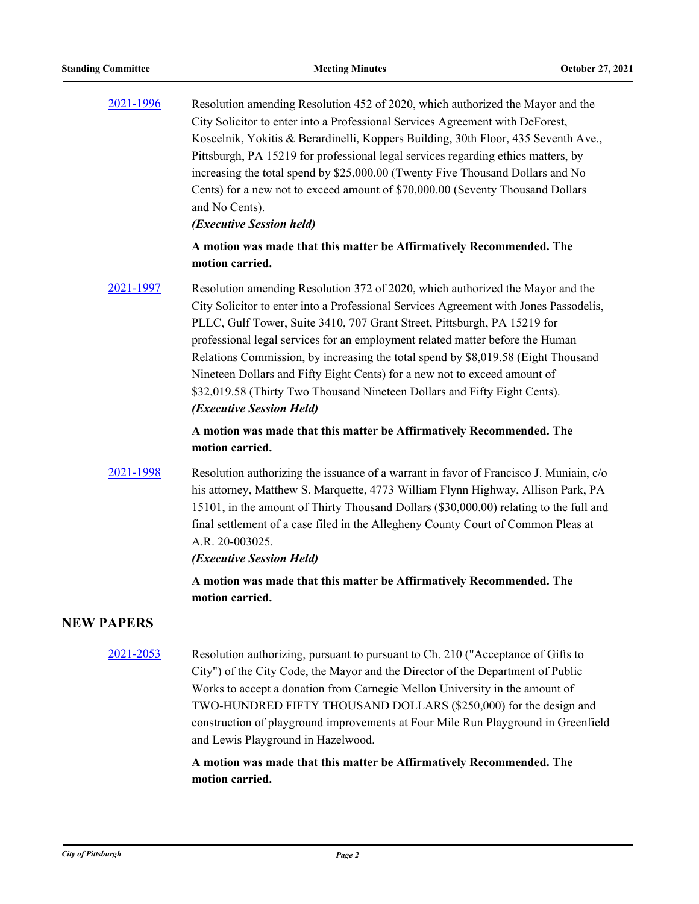| 2021-1996         | Resolution amending Resolution 452 of 2020, which authorized the Mayor and the<br>City Solicitor to enter into a Professional Services Agreement with DeForest,<br>Koscelnik, Yokitis & Berardinelli, Koppers Building, 30th Floor, 435 Seventh Ave.,<br>Pittsburgh, PA 15219 for professional legal services regarding ethics matters, by<br>increasing the total spend by \$25,000.00 (Twenty Five Thousand Dollars and No<br>Cents) for a new not to exceed amount of \$70,000.00 (Seventy Thousand Dollars<br>and No Cents).<br>(Executive Session held)                                                    |
|-------------------|-----------------------------------------------------------------------------------------------------------------------------------------------------------------------------------------------------------------------------------------------------------------------------------------------------------------------------------------------------------------------------------------------------------------------------------------------------------------------------------------------------------------------------------------------------------------------------------------------------------------|
|                   | A motion was made that this matter be Affirmatively Recommended. The<br>motion carried.                                                                                                                                                                                                                                                                                                                                                                                                                                                                                                                         |
| 2021-1997         | Resolution amending Resolution 372 of 2020, which authorized the Mayor and the<br>City Solicitor to enter into a Professional Services Agreement with Jones Passodelis,<br>PLLC, Gulf Tower, Suite 3410, 707 Grant Street, Pittsburgh, PA 15219 for<br>professional legal services for an employment related matter before the Human<br>Relations Commission, by increasing the total spend by \$8,019.58 (Eight Thousand<br>Nineteen Dollars and Fifty Eight Cents) for a new not to exceed amount of<br>\$32,019.58 (Thirty Two Thousand Nineteen Dollars and Fifty Eight Cents).<br>(Executive Session Held) |
|                   | A motion was made that this matter be Affirmatively Recommended. The<br>motion carried.                                                                                                                                                                                                                                                                                                                                                                                                                                                                                                                         |
| 2021-1998         | Resolution authorizing the issuance of a warrant in favor of Francisco J. Muniain, c/o<br>his attorney, Matthew S. Marquette, 4773 William Flynn Highway, Allison Park, PA<br>15101, in the amount of Thirty Thousand Dollars (\$30,000.00) relating to the full and<br>final settlement of a case filed in the Allegheny County Court of Common Pleas at<br>A.R. 20-003025.<br>(Executive Session Held)                                                                                                                                                                                                        |
|                   | A motion was made that this matter be Affirmatively Recommended. The<br>motion carried.                                                                                                                                                                                                                                                                                                                                                                                                                                                                                                                         |
| <b>NEW PAPERS</b> |                                                                                                                                                                                                                                                                                                                                                                                                                                                                                                                                                                                                                 |
| 2021-2053         | Resolution authorizing, pursuant to pursuant to Ch. 210 ("Acceptance of Gifts to<br>City") of the City Code, the Mayor and the Director of the Department of Public<br>Works to accept a donation from Carnegie Mellon University in the amount of<br>TWO-HUNDRED FIFTY THOUSAND DOLLARS (\$250,000) for the design and<br>construction of playground improvements at Four Mile Run Playground in Greenfield<br>and Lewis Playground in Hazelwood.                                                                                                                                                              |
|                   | A motion was made that this matter be Affirmatively Recommended. The                                                                                                                                                                                                                                                                                                                                                                                                                                                                                                                                            |

**motion carried.**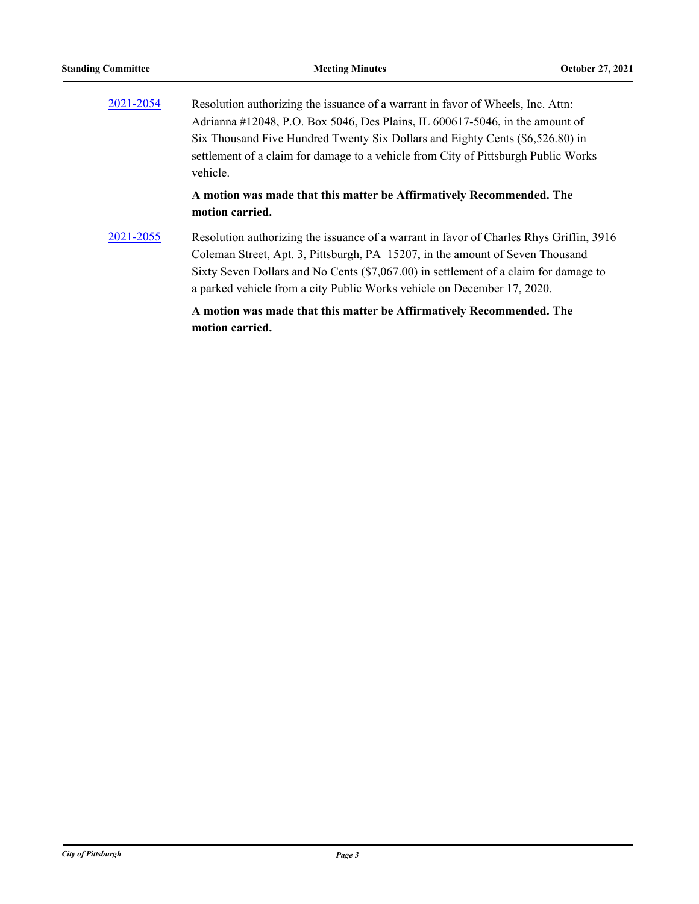| 2021-2054 | Resolution authorizing the issuance of a warrant in favor of Wheels, Inc. Attn:         |
|-----------|-----------------------------------------------------------------------------------------|
|           | Adrianna #12048, P.O. Box 5046, Des Plains, IL 600617-5046, in the amount of            |
|           | Six Thousand Five Hundred Twenty Six Dollars and Eighty Cents (\$6,526.80) in           |
|           | settlement of a claim for damage to a vehicle from City of Pittsburgh Public Works      |
|           | vehicle.                                                                                |
|           | A motion was made that this matter be Affirmatively Recommended. The<br>motion carried. |
| 2021-2055 | Resolution authorizing the issuance of a warrant in favor of Charles Rhys Griffin, 3916 |
|           | Coleman Street, Apt. 3, Pittsburgh, PA 15207, in the amount of Seven Thousand           |
|           |                                                                                         |

## a parked vehicle from a city Public Works vehicle on December 17, 2020. **A motion was made that this matter be Affirmatively Recommended. The**

**motion carried.**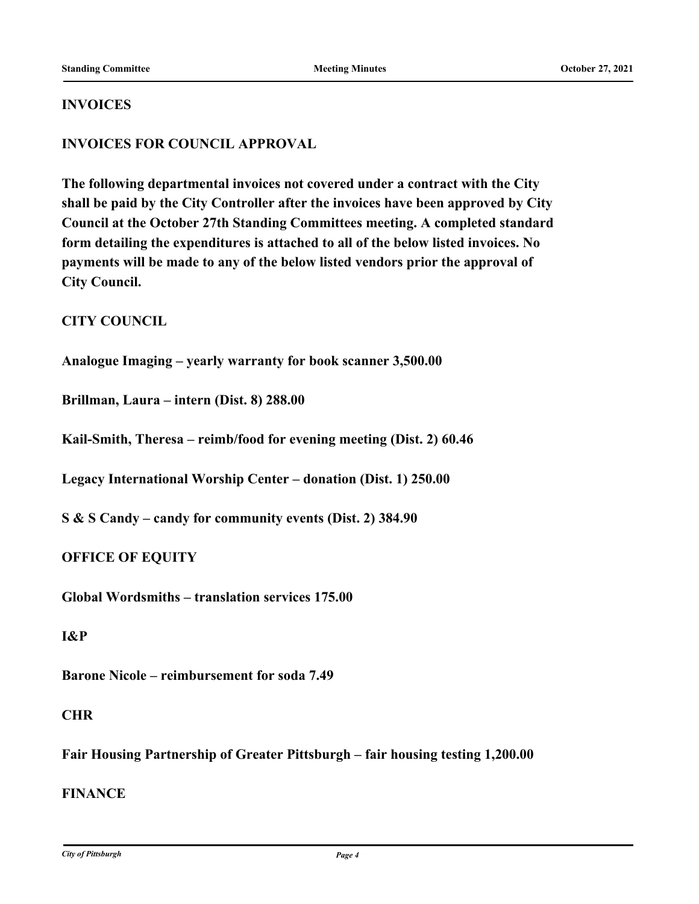#### **INVOICES**

#### **INVOICES FOR COUNCIL APPROVAL**

**The following departmental invoices not covered under a contract with the City shall be paid by the City Controller after the invoices have been approved by City Council at the October 27th Standing Committees meeting. A completed standard form detailing the expenditures is attached to all of the below listed invoices. No payments will be made to any of the below listed vendors prior the approval of City Council.**

#### **CITY COUNCIL**

**Analogue Imaging – yearly warranty for book scanner 3,500.00**

**Brillman, Laura – intern (Dist. 8) 288.00**

**Kail-Smith, Theresa – reimb/food for evening meeting (Dist. 2) 60.46**

**Legacy International Worship Center – donation (Dist. 1) 250.00**

**S & S Candy – candy for community events (Dist. 2) 384.90**

#### **OFFICE OF EQUITY**

**Global Wordsmiths – translation services 175.00**

#### **I&P**

**Barone Nicole – reimbursement for soda 7.49**

#### **CHR**

**Fair Housing Partnership of Greater Pittsburgh – fair housing testing 1,200.00**

#### **FINANCE**

*City of Pittsburgh Page 4*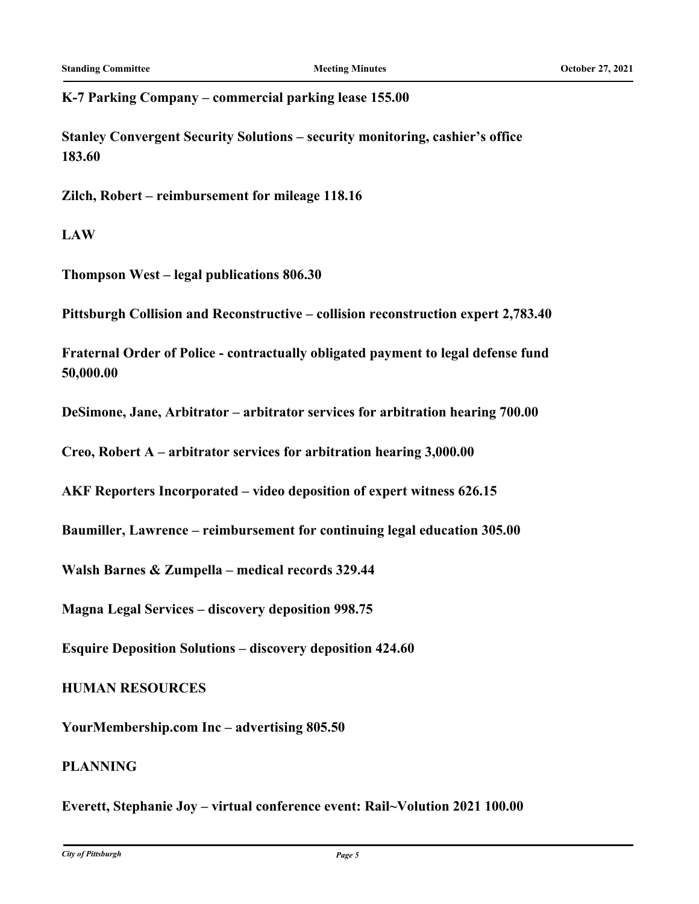**K-7 Parking Company – commercial parking lease 155.00**

**Stanley Convergent Security Solutions – security monitoring, cashier's office 183.60**

**Zilch, Robert – reimbursement for mileage 118.16**

**LAW**

**Thompson West – legal publications 806.30**

**Pittsburgh Collision and Reconstructive – collision reconstruction expert 2,783.40**

**Fraternal Order of Police - contractually obligated payment to legal defense fund 50,000.00**

**DeSimone, Jane, Arbitrator – arbitrator services for arbitration hearing 700.00**

**Creo, Robert A – arbitrator services for arbitration hearing 3,000.00**

**AKF Reporters Incorporated – video deposition of expert witness 626.15**

**Baumiller, Lawrence – reimbursement for continuing legal education 305.00**

**Walsh Barnes & Zumpella – medical records 329.44**

**Magna Legal Services – discovery deposition 998.75**

**Esquire Deposition Solutions – discovery deposition 424.60**

**HUMAN RESOURCES**

**YourMembership.com Inc – advertising 805.50**

#### **PLANNING**

**Everett, Stephanie Joy – virtual conference event: Rail~Volution 2021 100.00**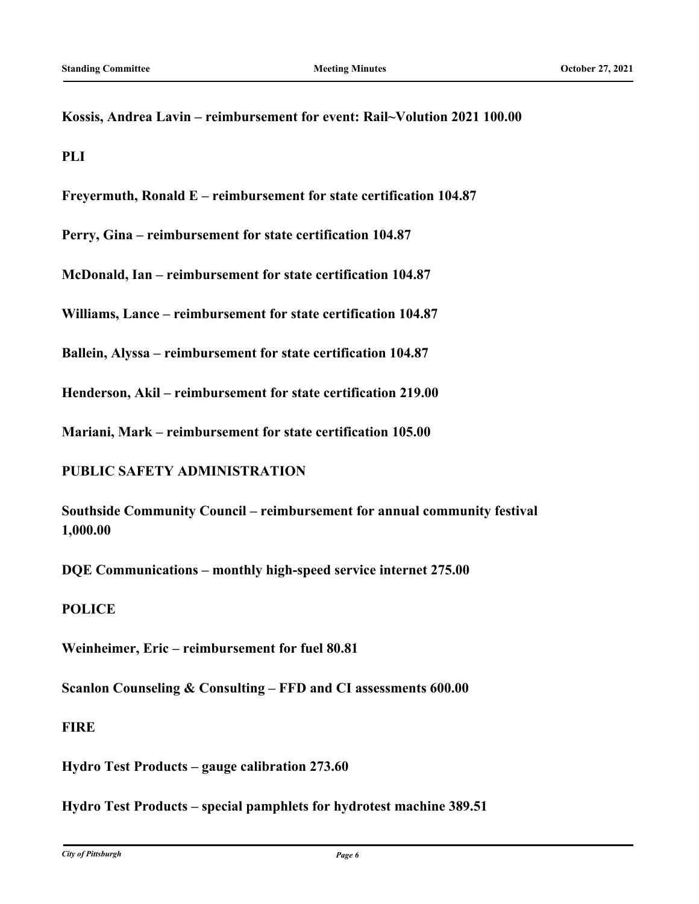**Kossis, Andrea Lavin – reimbursement for event: Rail~Volution 2021 100.00**

**PLI**

**Freyermuth, Ronald E – reimbursement for state certification 104.87**

**Perry, Gina – reimbursement for state certification 104.87**

**McDonald, Ian – reimbursement for state certification 104.87**

**Williams, Lance – reimbursement for state certification 104.87**

**Ballein, Alyssa – reimbursement for state certification 104.87**

**Henderson, Akil – reimbursement for state certification 219.00**

**Mariani, Mark – reimbursement for state certification 105.00**

#### **PUBLIC SAFETY ADMINISTRATION**

**Southside Community Council – reimbursement for annual community festival 1,000.00**

**DQE Communications – monthly high-speed service internet 275.00**

#### **POLICE**

**Weinheimer, Eric – reimbursement for fuel 80.81**

**Scanlon Counseling & Consulting – FFD and CI assessments 600.00**

#### **FIRE**

**Hydro Test Products – gauge calibration 273.60**

**Hydro Test Products – special pamphlets for hydrotest machine 389.51**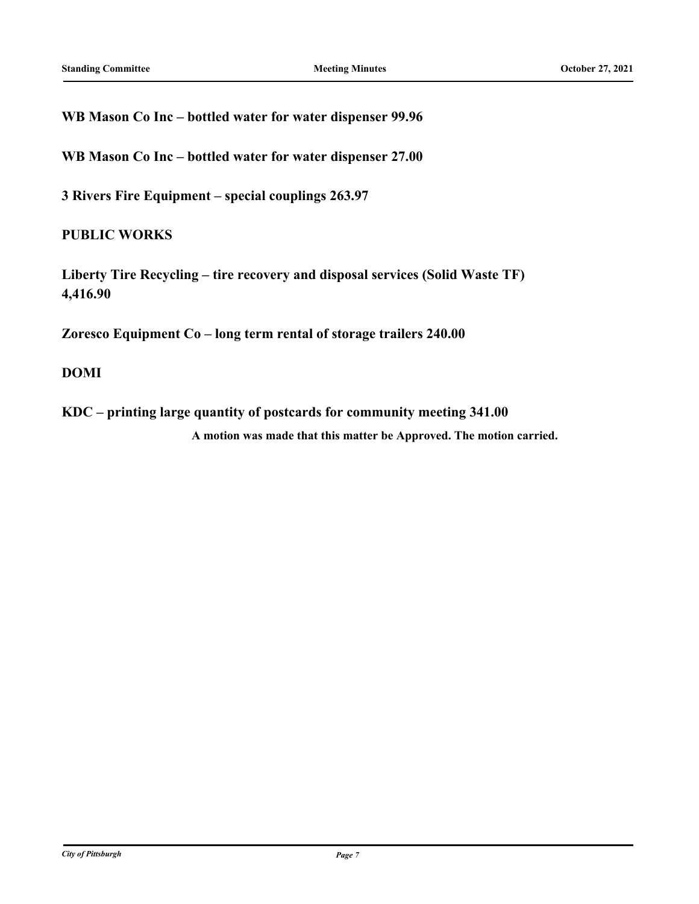**WB Mason Co Inc – bottled water for water dispenser 99.96**

**WB Mason Co Inc – bottled water for water dispenser 27.00**

**3 Rivers Fire Equipment – special couplings 263.97**

### **PUBLIC WORKS**

**Liberty Tire Recycling – tire recovery and disposal services (Solid Waste TF) 4,416.90**

**Zoresco Equipment Co – long term rental of storage trailers 240.00**

#### **DOMI**

**KDC – printing large quantity of postcards for community meeting 341.00 A motion was made that this matter be Approved. The motion carried.**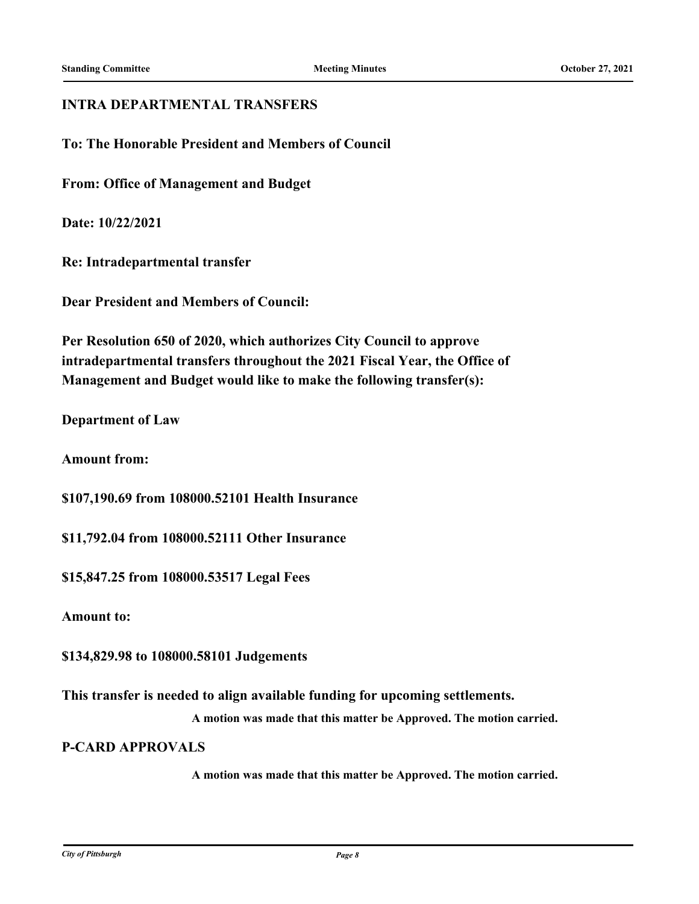#### **INTRA DEPARTMENTAL TRANSFERS**

**To: The Honorable President and Members of Council**

**From: Office of Management and Budget**

**Date: 10/22/2021**

**Re: Intradepartmental transfer**

**Dear President and Members of Council:**

**Per Resolution 650 of 2020, which authorizes City Council to approve intradepartmental transfers throughout the 2021 Fiscal Year, the Office of Management and Budget would like to make the following transfer(s):**

**Department of Law**

**Amount from:**

**\$107,190.69 from 108000.52101 Health Insurance**

**\$11,792.04 from 108000.52111 Other Insurance**

**\$15,847.25 from 108000.53517 Legal Fees**

**Amount to:**

**\$134,829.98 to 108000.58101 Judgements**

**This transfer is needed to align available funding for upcoming settlements.**

**A motion was made that this matter be Approved. The motion carried.**

**P-CARD APPROVALS**

**A motion was made that this matter be Approved. The motion carried.**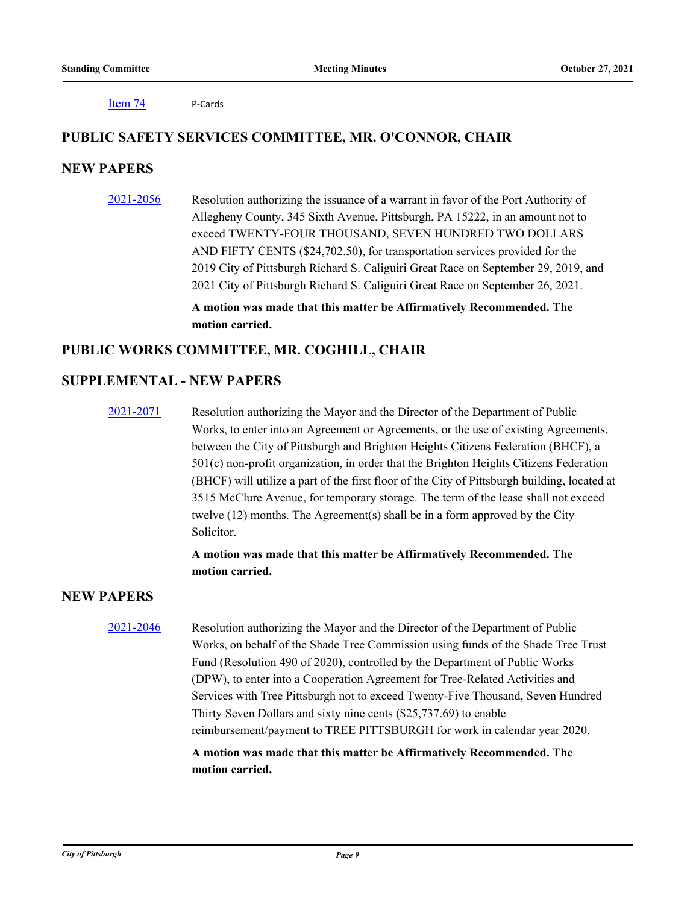[Item 74](http://pittsburgh.legistar.com/gateway.aspx?m=l&id=/matter.aspx?key=26986) P-Cards

#### **PUBLIC SAFETY SERVICES COMMITTEE, MR. O'CONNOR, CHAIR**

#### **NEW PAPERS**

[2021-2056](http://pittsburgh.legistar.com/gateway.aspx?m=l&id=/matter.aspx?key=26933) Resolution authorizing the issuance of a warrant in favor of the Port Authority of Allegheny County, 345 Sixth Avenue, Pittsburgh, PA 15222, in an amount not to exceed TWENTY-FOUR THOUSAND, SEVEN HUNDRED TWO DOLLARS AND FIFTY CENTS (\$24,702.50), for transportation services provided for the 2019 City of Pittsburgh Richard S. Caliguiri Great Race on September 29, 2019, and 2021 City of Pittsburgh Richard S. Caliguiri Great Race on September 26, 2021.

> **A motion was made that this matter be Affirmatively Recommended. The motion carried.**

#### **PUBLIC WORKS COMMITTEE, MR. COGHILL, CHAIR**

#### **SUPPLEMENTAL - NEW PAPERS**

[2021-2071](http://pittsburgh.legistar.com/gateway.aspx?m=l&id=/matter.aspx?key=26954) Resolution authorizing the Mayor and the Director of the Department of Public Works, to enter into an Agreement or Agreements, or the use of existing Agreements, between the City of Pittsburgh and Brighton Heights Citizens Federation (BHCF), a 501(c) non-profit organization, in order that the Brighton Heights Citizens Federation (BHCF) will utilize a part of the first floor of the City of Pittsburgh building, located at 3515 McClure Avenue, for temporary storage. The term of the lease shall not exceed twelve (12) months. The Agreement(s) shall be in a form approved by the City Solicitor.

#### **A motion was made that this matter be Affirmatively Recommended. The motion carried.**

### **NEW PAPERS**

[2021-2046](http://pittsburgh.legistar.com/gateway.aspx?m=l&id=/matter.aspx?key=26923) Resolution authorizing the Mayor and the Director of the Department of Public Works, on behalf of the Shade Tree Commission using funds of the Shade Tree Trust Fund (Resolution 490 of 2020), controlled by the Department of Public Works (DPW), to enter into a Cooperation Agreement for Tree-Related Activities and Services with Tree Pittsburgh not to exceed Twenty-Five Thousand, Seven Hundred Thirty Seven Dollars and sixty nine cents (\$25,737.69) to enable reimbursement/payment to TREE PITTSBURGH for work in calendar year 2020.

> **A motion was made that this matter be Affirmatively Recommended. The motion carried.**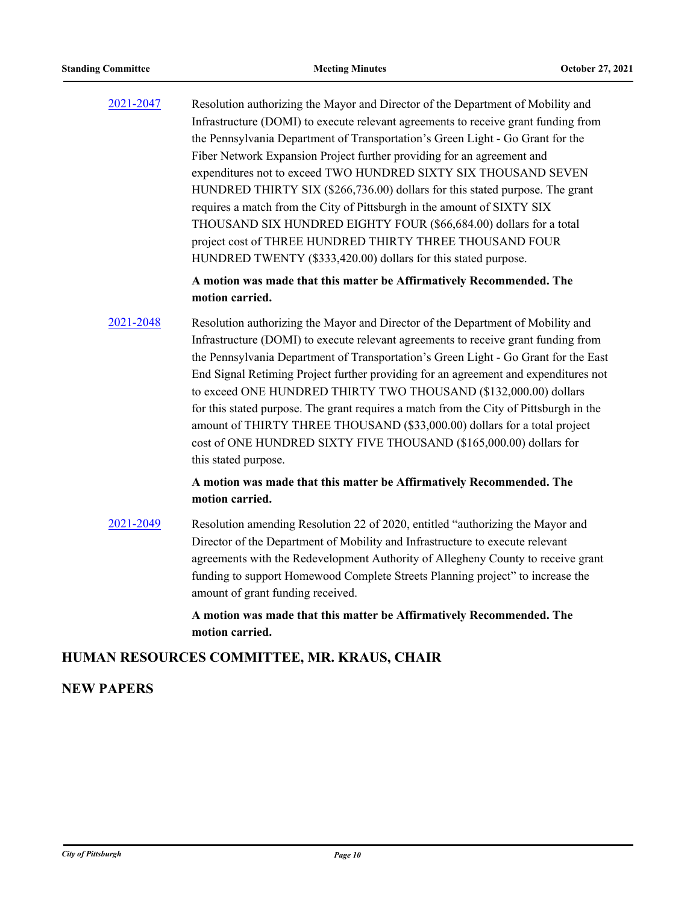[2021-2047](http://pittsburgh.legistar.com/gateway.aspx?m=l&id=/matter.aspx?key=26924) Resolution authorizing the Mayor and Director of the Department of Mobility and Infrastructure (DOMI) to execute relevant agreements to receive grant funding from the Pennsylvania Department of Transportation's Green Light - Go Grant for the Fiber Network Expansion Project further providing for an agreement and expenditures not to exceed TWO HUNDRED SIXTY SIX THOUSAND SEVEN HUNDRED THIRTY SIX (\$266,736.00) dollars for this stated purpose. The grant requires a match from the City of Pittsburgh in the amount of SIXTY SIX THOUSAND SIX HUNDRED EIGHTY FOUR (\$66,684.00) dollars for a total project cost of THREE HUNDRED THIRTY THREE THOUSAND FOUR HUNDRED TWENTY (\$333,420.00) dollars for this stated purpose.

#### **A motion was made that this matter be Affirmatively Recommended. The motion carried.**

[2021-2048](http://pittsburgh.legistar.com/gateway.aspx?m=l&id=/matter.aspx?key=26925) Resolution authorizing the Mayor and Director of the Department of Mobility and Infrastructure (DOMI) to execute relevant agreements to receive grant funding from the Pennsylvania Department of Transportation's Green Light - Go Grant for the East End Signal Retiming Project further providing for an agreement and expenditures not to exceed ONE HUNDRED THIRTY TWO THOUSAND (\$132,000.00) dollars for this stated purpose. The grant requires a match from the City of Pittsburgh in the amount of THIRTY THREE THOUSAND (\$33,000.00) dollars for a total project cost of ONE HUNDRED SIXTY FIVE THOUSAND (\$165,000.00) dollars for this stated purpose.

#### **A motion was made that this matter be Affirmatively Recommended. The motion carried.**

[2021-2049](http://pittsburgh.legistar.com/gateway.aspx?m=l&id=/matter.aspx?key=26926) Resolution amending Resolution 22 of 2020, entitled "authorizing the Mayor and Director of the Department of Mobility and Infrastructure to execute relevant agreements with the Redevelopment Authority of Allegheny County to receive grant funding to support Homewood Complete Streets Planning project" to increase the amount of grant funding received.

> **A motion was made that this matter be Affirmatively Recommended. The motion carried.**

#### **HUMAN RESOURCES COMMITTEE, MR. KRAUS, CHAIR**

#### **NEW PAPERS**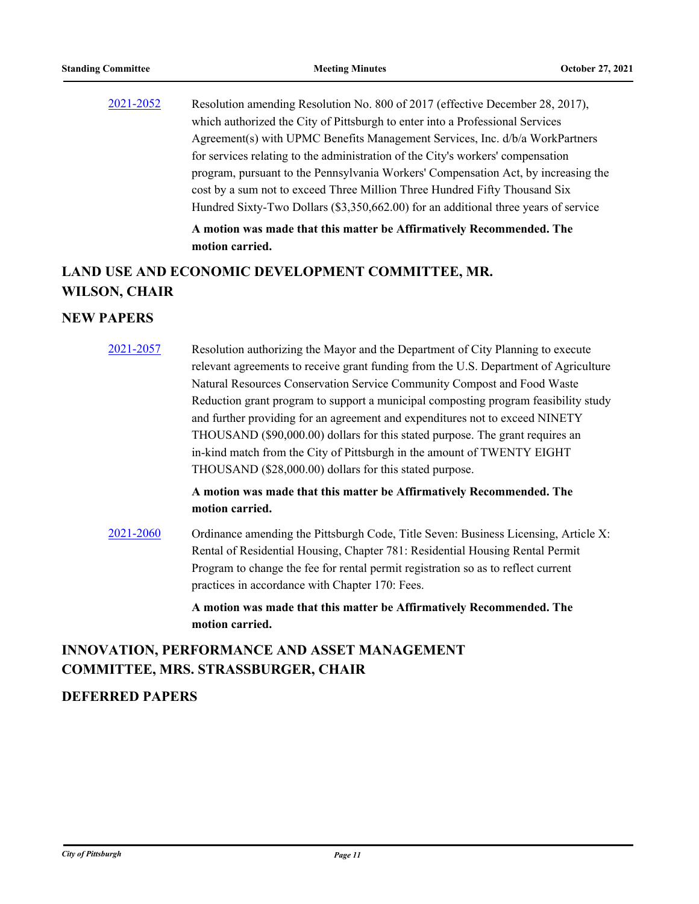[2021-2052](http://pittsburgh.legistar.com/gateway.aspx?m=l&id=/matter.aspx?key=26929) Resolution amending Resolution No. 800 of 2017 (effective December 28, 2017), which authorized the City of Pittsburgh to enter into a Professional Services Agreement(s) with UPMC Benefits Management Services, Inc. d/b/a WorkPartners for services relating to the administration of the City's workers' compensation program, pursuant to the Pennsylvania Workers' Compensation Act, by increasing the cost by a sum not to exceed Three Million Three Hundred Fifty Thousand Six Hundred Sixty-Two Dollars (\$3,350,662.00) for an additional three years of service **A motion was made that this matter be Affirmatively Recommended. The** 

# **LAND USE AND ECONOMIC DEVELOPMENT COMMITTEE, MR. WILSON, CHAIR**

**motion carried.**

#### **NEW PAPERS**

[2021-2057](http://pittsburgh.legistar.com/gateway.aspx?m=l&id=/matter.aspx?key=26934) Resolution authorizing the Mayor and the Department of City Planning to execute relevant agreements to receive grant funding from the U.S. Department of Agriculture Natural Resources Conservation Service Community Compost and Food Waste Reduction grant program to support a municipal composting program feasibility study and further providing for an agreement and expenditures not to exceed NINETY THOUSAND (\$90,000.00) dollars for this stated purpose. The grant requires an in-kind match from the City of Pittsburgh in the amount of TWENTY EIGHT THOUSAND (\$28,000.00) dollars for this stated purpose.

#### **A motion was made that this matter be Affirmatively Recommended. The motion carried.**

[2021-2060](http://pittsburgh.legistar.com/gateway.aspx?m=l&id=/matter.aspx?key=26937) Ordinance amending the Pittsburgh Code, Title Seven: Business Licensing, Article X: Rental of Residential Housing, Chapter 781: Residential Housing Rental Permit Program to change the fee for rental permit registration so as to reflect current practices in accordance with Chapter 170: Fees.

> **A motion was made that this matter be Affirmatively Recommended. The motion carried.**

# **INNOVATION, PERFORMANCE AND ASSET MANAGEMENT COMMITTEE, MRS. STRASSBURGER, CHAIR**

#### **DEFERRED PAPERS**